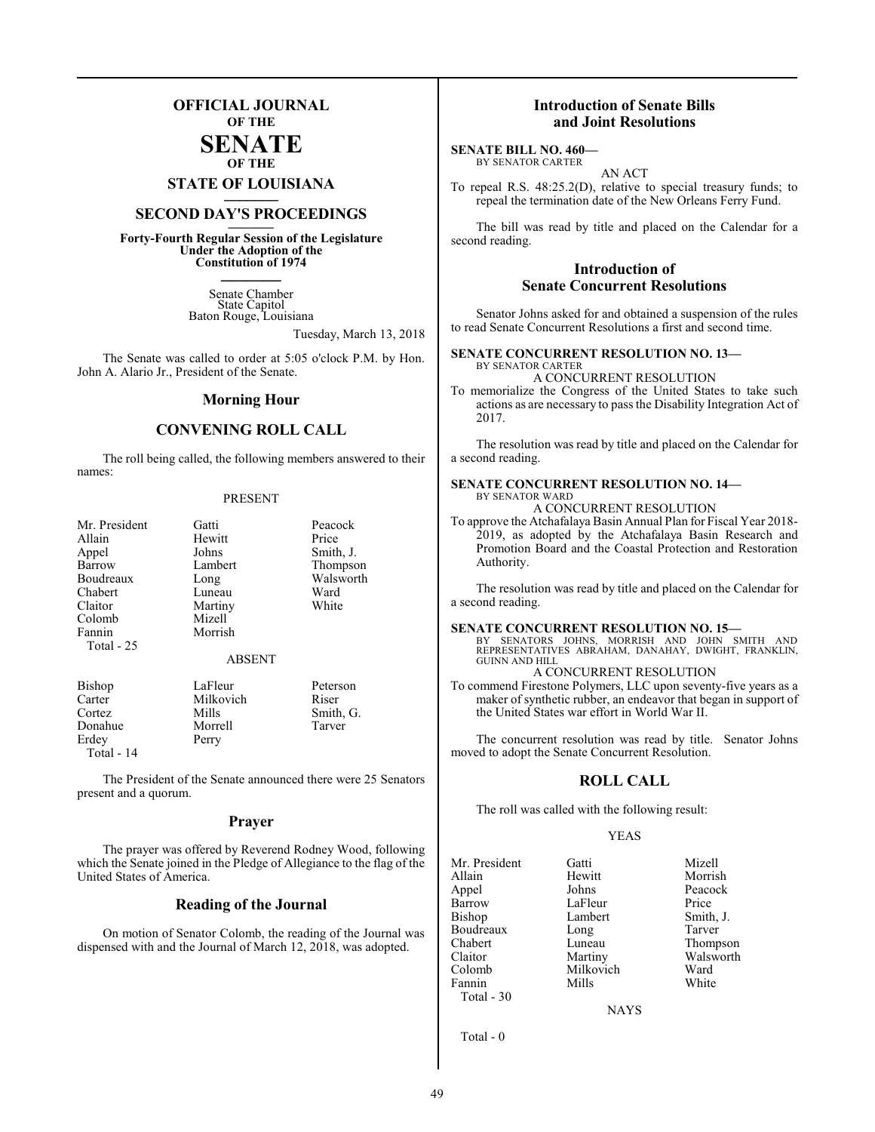### **OFFICIAL JOURNAL OF THE**

#### **SENATE OF THE**

**STATE OF LOUISIANA \_\_\_\_\_\_\_**

## **SECOND DAY'S PROCEEDINGS \_\_\_\_\_\_\_**

**Forty-Fourth Regular Session of the Legislature Under the Adoption of the Constitution of 1974 \_\_\_\_\_\_\_**

> Senate Chamber State Capitol Baton Rouge, Louisiana

> > Tuesday, March 13, 2018

The Senate was called to order at 5:05 o'clock P.M. by Hon. John A. Alario Jr., President of the Senate.

#### **Morning Hour**

#### **CONVENING ROLL CALL**

The roll being called, the following members answered to their names:

#### PRESENT

| Mr. President<br>Allain<br>Appel<br>Barrow<br>Boudreaux<br>Chabert<br>Claitor<br>Colomb<br>Fannin<br>Total $-25$ | Gatti<br>Hewitt<br>Johns<br>Lambert<br>Long<br>Luneau<br>Martiny<br>Mizell<br>Morrish<br><b>ABSENT</b> | Peacock<br>Price<br>Smith, J.<br>Thompson<br>Walsworth<br>Ward<br>White |
|------------------------------------------------------------------------------------------------------------------|--------------------------------------------------------------------------------------------------------|-------------------------------------------------------------------------|
| Bishop                                                                                                           | LaFleur                                                                                                | Peterson                                                                |
| Carter                                                                                                           | Milkovich                                                                                              | Riser                                                                   |

Morrell<br>Perry

Cortez Mills Smith, G. Erdey Total - 14

The President of the Senate announced there were 25 Senators present and a quorum.

#### **Prayer**

The prayer was offered by Reverend Rodney Wood, following which the Senate joined in the Pledge of Allegiance to the flag of the United States of America.

#### **Reading of the Journal**

On motion of Senator Colomb, the reading of the Journal was dispensed with and the Journal of March 12, 2018, was adopted.

#### **Introduction of Senate Bills and Joint Resolutions**

**SENATE BILL NO. 460—** BY SENATOR CARTER

AN ACT To repeal R.S. 48:25.2(D), relative to special treasury funds; to repeal the termination date of the New Orleans Ferry Fund.

The bill was read by title and placed on the Calendar for a second reading.

#### **Introduction of Senate Concurrent Resolutions**

Senator Johns asked for and obtained a suspension of the rules to read Senate Concurrent Resolutions a first and second time.

#### **SENATE CONCURRENT RESOLUTION NO. 13—**

BY SENATOR CARTER A CONCURRENT RESOLUTION

To memorialize the Congress of the United States to take such actions as are necessary to pass the Disability Integration Act of 2017.

The resolution was read by title and placed on the Calendar for a second reading.

#### **SENATE CONCURRENT RESOLUTION NO. 14—** BY SENATOR WARD

A CONCURRENT RESOLUTION

To approve the Atchafalaya Basin Annual Plan for Fiscal Year 2018- 2019, as adopted by the Atchafalaya Basin Research and Promotion Board and the Coastal Protection and Restoration Authority.

The resolution was read by title and placed on the Calendar for a second reading.

#### **SENATE CONCURRENT RESOLUTION NO. 15—**

BY SENATORS JOHNS, MORRISH AND JOHN SMITH AND REPRESENTATIVES ABRAHAM, DANAHAY, DWIGHT, FRANKLIN, GUINN AND HILL

A CONCURRENT RESOLUTION

To commend Firestone Polymers, LLC upon seventy-five years as a maker of synthetic rubber, an endeavor that began in support of the United States war effort in World War II.

The concurrent resolution was read by title. Senator Johns moved to adopt the Senate Concurrent Resolution.

#### **ROLL CALL**

The roll was called with the following result:

#### YEAS

| Mr. President | Gatti          | Mizell    |
|---------------|----------------|-----------|
| Allain        | Hewitt         | Morrish   |
| Appel         | Johns          | Peacock   |
| Barrow        | LaFleur        | Price     |
| Bishop        | Lambert        | Smith, J. |
| Boudreaux     | Long           | Tarver    |
| Chabert       | Luneau         | Thompson  |
| Claitor       | Martiny        | Walsworth |
| Colomb        | Milkovich      | Ward      |
| Fannin        | Mills          | White     |
| Total - 30    |                |           |
|               | <b>ATA SZC</b> |           |

NAYS

Total - 0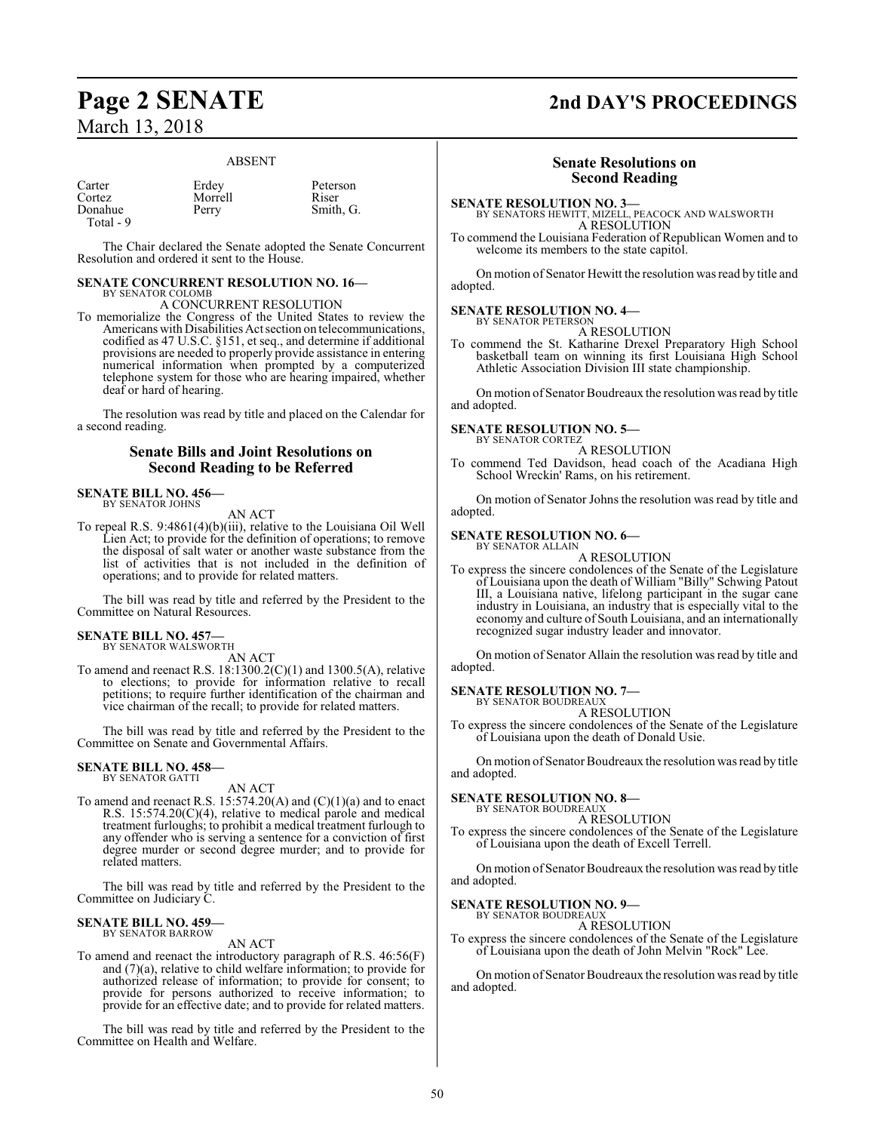#### ABSENT

| Carter    | Erdey   | Peterson  |
|-----------|---------|-----------|
| Cortez    | Morrell | Riser     |
| Donahue   | Perry   | Smith, G. |
| Total - 9 |         |           |

The Chair declared the Senate adopted the Senate Concurrent Resolution and ordered it sent to the House.

#### **SENATE CONCURRENT RESOLUTION NO. 16—** BY SENATOR COLOMB

A CONCURRENT RESOLUTION

To memorialize the Congress of the United States to review the Americans with Disabilities Act section on telecommunications, codified as 47 U.S.C. §151, et seq., and determine if additional provisions are needed to properly provide assistance in entering numerical information when prompted by a computerized telephone system for those who are hearing impaired, whether deaf or hard of hearing.

The resolution was read by title and placed on the Calendar for a second reading.

#### **Senate Bills and Joint Resolutions on Second Reading to be Referred**

#### **SENATE BILL NO. 456—** BY SENATOR JOHNS

AN ACT

To repeal R.S. 9:4861(4)(b)(iii), relative to the Louisiana Oil Well Lien Act; to provide for the definition of operations; to remove the disposal of salt water or another waste substance from the list of activities that is not included in the definition of operations; and to provide for related matters.

The bill was read by title and referred by the President to the Committee on Natural Resources.

#### **SENATE BILL NO. 457—**

BY SENATOR WALSWORTH

AN ACT To amend and reenact R.S. 18:1300.2(C)(1) and 1300.5(A), relative to elections; to provide for information relative to recall petitions; to require further identification of the chairman and vice chairman of the recall; to provide for related matters.

The bill was read by title and referred by the President to the Committee on Senate and Governmental Affairs.

## **SENATE BILL NO. 458—** BY SENATOR GATTI

AN ACT

To amend and reenact R.S. 15:574.20(A) and (C)(1)(a) and to enact R.S. 15:574.20(C)(4), relative to medical parole and medical treatment furloughs; to prohibit a medical treatment furlough to any offender who is serving a sentence for a conviction of first degree murder or second degree murder; and to provide for related matters.

The bill was read by title and referred by the President to the Committee on Judiciary C.

#### **SENATE BILL NO. 459—** BY SENATOR BARROW

AN ACT

To amend and reenact the introductory paragraph of R.S. 46:56(F) and (7)(a), relative to child welfare information; to provide for authorized release of information; to provide for consent; to provide for persons authorized to receive information; to provide for an effective date; and to provide for related matters.

The bill was read by title and referred by the President to the Committee on Health and Welfare.

## **Page 2 SENATE 2nd DAY'S PROCEEDINGS**

#### **Senate Resolutions on Second Reading**

**SENATE RESOLUTION NO. 3—** BY SENATORS HEWITT, MIZELL, PEACOCK AND WALSWORTH A RESOLUTION

To commend the Louisiana Federation of Republican Women and to welcome its members to the state capitol.

On motion of Senator Hewitt the resolution was read by title and adopted.

### **SENATE RESOLUTION NO. 4—** BY SENATOR PETERSON

A RESOLUTION

To commend the St. Katharine Drexel Preparatory High School basketball team on winning its first Louisiana High School Athletic Association Division III state championship.

On motion of Senator Boudreaux the resolution was read by title and adopted.

#### **SENATE RESOLUTION NO. 5—**

BY SENATOR CORTEZ A RESOLUTION

To commend Ted Davidson, head coach of the Acadiana High School Wreckin' Rams, on his retirement.

On motion of Senator Johns the resolution was read by title and adopted.

#### **SENATE RESOLUTION NO. 6—** BY SENATOR ALLAIN

A RESOLUTION

To express the sincere condolences of the Senate of the Legislature of Louisiana upon the death of William "Billy" Schwing Patout III, a Louisiana native, lifelong participant in the sugar cane industry in Louisiana, an industry that is especially vital to the economy and culture of South Louisiana, and an internationally recognized sugar industry leader and innovator.

On motion of Senator Allain the resolution was read by title and adopted.

#### **SENATE RESOLUTION NO. 7—**

BY SENATOR BOUDREAUX A RESOLUTION

To express the sincere condolences of the Senate of the Legislature of Louisiana upon the death of Donald Usie.

On motion of Senator Boudreaux the resolution was read by title and adopted.

#### **SENATE RESOLUTION NO. 8—**

BY SENATOR BOUDREAUX A RESOLUTION

To express the sincere condolences of the Senate of the Legislature of Louisiana upon the death of Excell Terrell.

On motion of Senator Boudreaux the resolution was read by title and adopted.

#### **SENATE RESOLUTION NO. 9—**

BY SENATOR BOUDREAUX A RESOLUTION

To express the sincere condolences of the Senate of the Legislature of Louisiana upon the death of John Melvin "Rock" Lee.

On motion of Senator Boudreaux the resolution was read by title and adopted.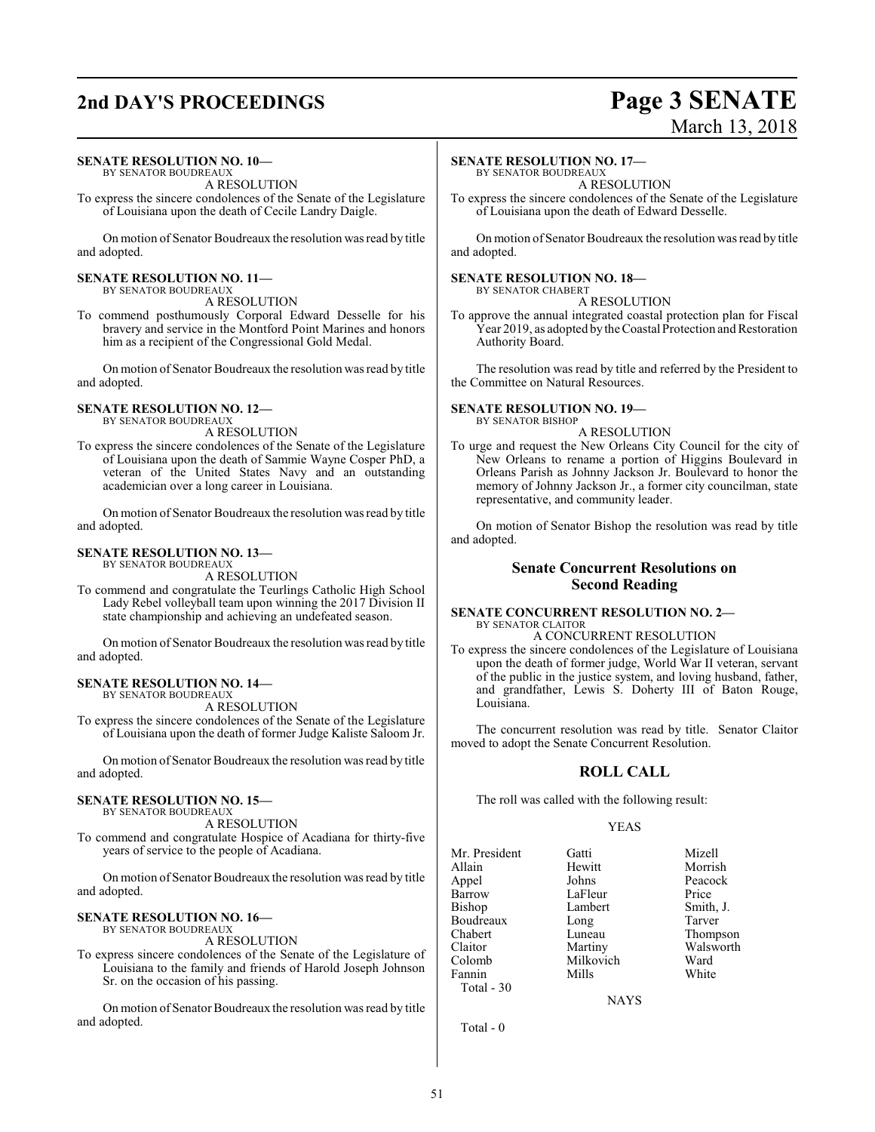## **2nd DAY'S PROCEEDINGS Page 3 SENATE**

### **SENATE RESOLUTION NO. 10—**

BY SENATOR BOUDREAUX A RESOLUTION

To express the sincere condolences of the Senate of the Legislature of Louisiana upon the death of Cecile Landry Daigle.

On motion of Senator Boudreaux the resolution was read by title and adopted.

#### **SENATE RESOLUTION NO. 11—**

BY SENATOR BOUDREAUX A RESOLUTION

To commend posthumously Corporal Edward Desselle for his bravery and service in the Montford Point Marines and honors him as a recipient of the Congressional Gold Medal.

On motion of Senator Boudreaux the resolution was read by title and adopted.

#### **SENATE RESOLUTION NO. 12—**

BY SENATOR BOUDREAUX A RESOLUTION

To express the sincere condolences of the Senate of the Legislature of Louisiana upon the death of Sammie Wayne Cosper PhD, a veteran of the United States Navy and an outstanding academician over a long career in Louisiana.

On motion of Senator Boudreaux the resolution was read by title and adopted.

#### **SENATE RESOLUTION NO. 13—**

BY SENATOR BOUDREAUX A RESOLUTION

To commend and congratulate the Teurlings Catholic High School Lady Rebel volleyball team upon winning the 2017 Division II state championship and achieving an undefeated season.

On motion of Senator Boudreaux the resolution was read by title and adopted.

#### **SENATE RESOLUTION NO. 14—**

BY SENATOR BOUDREAUX A RESOLUTION

To express the sincere condolences of the Senate of the Legislature of Louisiana upon the death of former Judge Kaliste Saloom Jr.

On motion of Senator Boudreaux the resolution was read by title and adopted.

#### **SENATE RESOLUTION NO. 15—**

BY SENATOR BOUDREAUX A RESOLUTION

To commend and congratulate Hospice of Acadiana for thirty-five years of service to the people of Acadiana.

On motion of Senator Boudreaux the resolution was read by title and adopted.

#### **SENATE RESOLUTION NO. 16—**

BY SENATOR BOUDREAUX

A RESOLUTION

To express sincere condolences of the Senate of the Legislature of Louisiana to the family and friends of Harold Joseph Johnson Sr. on the occasion of his passing.

On motion of Senator Boudreaux the resolution was read by title and adopted.

#### **SENATE RESOLUTION NO. 17—**

BY SENATOR BOUDREAUX A RESOLUTION

To express the sincere condolences of the Senate of the Legislature of Louisiana upon the death of Edward Desselle.

On motion of Senator Boudreaux the resolution was read by title and adopted.

#### **SENATE RESOLUTION NO. 18—** BY SENATOR CHABERT

A RESOLUTION

To approve the annual integrated coastal protection plan for Fiscal Year 2019, as adopted by the Coastal Protection and Restoration Authority Board.

The resolution was read by title and referred by the President to the Committee on Natural Resources.

#### **SENATE RESOLUTION NO. 19—** BY SENATOR BISHOP

A RESOLUTION

To urge and request the New Orleans City Council for the city of New Orleans to rename a portion of Higgins Boulevard in Orleans Parish as Johnny Jackson Jr. Boulevard to honor the memory of Johnny Jackson Jr., a former city councilman, state representative, and community leader.

On motion of Senator Bishop the resolution was read by title and adopted.

#### **Senate Concurrent Resolutions on Second Reading**

#### **SENATE CONCURRENT RESOLUTION NO. 2—** BY SENATOR CLAITOR

A CONCURRENT RESOLUTION To express the sincere condolences of the Legislature of Louisiana upon the death of former judge, World War II veteran, servant of the public in the justice system, and loving husband, father, and grandfather, Lewis S. Doherty III of Baton Rouge,

The concurrent resolution was read by title. Senator Claitor moved to adopt the Senate Concurrent Resolution.

#### **ROLL CALL**

The roll was called with the following result:

#### YEAS

| Mr. President | Gatti     | Mizell    |
|---------------|-----------|-----------|
| Allain        | Hewitt    | Morrish   |
| Appel         | Johns     | Peacock   |
| Barrow        | LaFleur   | Price     |
| Bishop        | Lambert   | Smith, J. |
| Boudreaux     | Long      | Tarver    |
| Chabert       | Luneau    | Thompson  |
| Claitor       | Martiny   | Walsworth |
| Colomb        | Milkovich | Ward      |
| Fannin        | Mills     | White     |
| Total - 30    |           |           |

Louisiana.

**NAYS** 

Total - 0

# March 13, 2018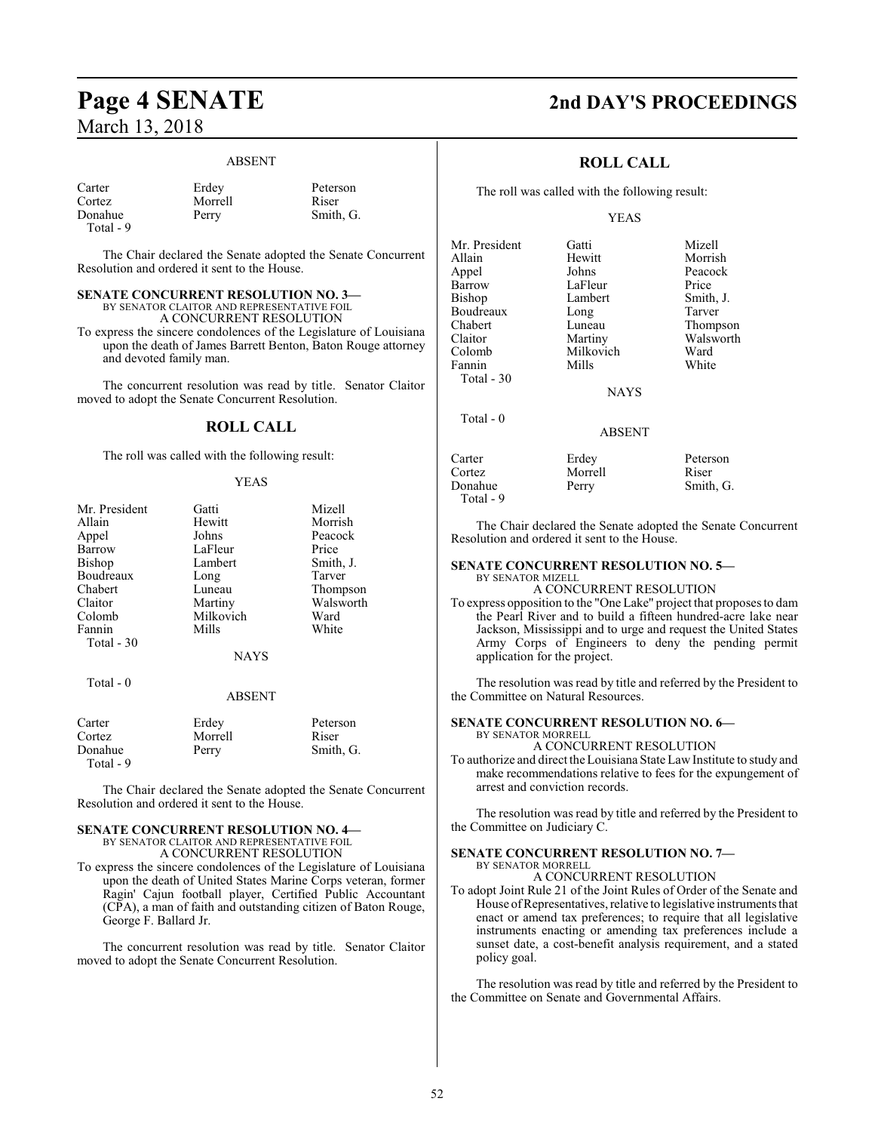#### ABSENT

| Carter    | Erdey   | Peterson  |
|-----------|---------|-----------|
| Cortez    | Morrell | Riser     |
| Donahue   | Perry   | Smith, G. |
| Total - 9 |         |           |

The Chair declared the Senate adopted the Senate Concurrent Resolution and ordered it sent to the House.

#### **SENATE CONCURRENT RESOLUTION NO. 3—**

BY SENATOR CLAITOR AND REPRESENTATIVE FOIL A CONCURRENT RESOLUTION

To express the sincere condolences of the Legislature of Louisiana upon the death of James Barrett Benton, Baton Rouge attorney and devoted family man.

The concurrent resolution was read by title. Senator Claitor moved to adopt the Senate Concurrent Resolution.

#### **ROLL CALL**

The roll was called with the following result:

#### YEAS

| Mr. President | Gatti       | Mizell    |
|---------------|-------------|-----------|
| Allain        | Hewitt      | Morrish   |
| Appel         | Johns       | Peacock   |
| Barrow        | LaFleur     | Price     |
| <b>Bishop</b> | Lambert     | Smith, J. |
| Boudreaux     | Long        | Tarver    |
| Chabert       | Luneau      | Thompson  |
| Claitor       | Martiny     | Walsworth |
| Colomb        | Milkovich   | Ward      |
| Fannin        | Mills       | White     |
| Total - 30    |             |           |
|               | <b>NAYS</b> |           |
| $Total - 0$   |             |           |

#### ABSENT

| Carter    | Erdey   | Peterson  |
|-----------|---------|-----------|
| Cortez    | Morrell | Riser     |
| Donahue   | Perry   | Smith, G. |
| Total - 9 |         |           |

The Chair declared the Senate adopted the Senate Concurrent Resolution and ordered it sent to the House.

#### **SENATE CONCURRENT RESOLUTION NO. 4—** BY SENATOR CLAITOR AND REPRESENTATIVE FOIL A CONCURRENT RESOLUTION

To express the sincere condolences of the Legislature of Louisiana upon the death of United States Marine Corps veteran, former Ragin' Cajun football player, Certified Public Accountant (CPA), a man of faith and outstanding citizen of Baton Rouge, George F. Ballard Jr.

The concurrent resolution was read by title. Senator Claitor moved to adopt the Senate Concurrent Resolution.

## **Page 4 SENATE 2nd DAY'S PROCEEDINGS**

#### **ROLL CALL**

The roll was called with the following result:

#### YEAS

| Mr. President | Gatti         | Mizell    |
|---------------|---------------|-----------|
| Allain        | Hewitt        | Morrish   |
| Appel         | Johns         | Peacock   |
| Barrow        | LaFleur       | Price     |
| Bishop        | Lambert       | Smith, J. |
| Boudreaux     | Long          | Tarver    |
| Chabert       | Luneau        | Thompson  |
| Claitor       | Martiny       | Walsworth |
| Colomb        | Milkovich     | Ward      |
| Fannin        | Mills         | White     |
| Total $-30$   |               |           |
|               | <b>NAYS</b>   |           |
| $Total - 0$   |               |           |
|               | <b>ABSENT</b> |           |
| Carter        | Erdey         | Peterson  |
| Cortez        | Morrell       | Riser     |

The Chair declared the Senate adopted the Senate Concurrent Resolution and ordered it sent to the House.

#### **SENATE CONCURRENT RESOLUTION NO. 5—** BY SENATOR MIZELL

Donahue Perry Smith, G.

Total - 9

A CONCURRENT RESOLUTION

To express opposition to the "One Lake" project that proposes to dam the Pearl River and to build a fifteen hundred-acre lake near Jackson, Mississippi and to urge and request the United States Army Corps of Engineers to deny the pending permit application for the project.

The resolution was read by title and referred by the President to the Committee on Natural Resources.

#### **SENATE CONCURRENT RESOLUTION NO. 6—** BY SENATOR MORRELL

A CONCURRENT RESOLUTION

To authorize and direct theLouisiana State Law Institute to study and make recommendations relative to fees for the expungement of arrest and conviction records.

The resolution was read by title and referred by the President to the Committee on Judiciary C.

#### **SENATE CONCURRENT RESOLUTION NO. 7—** BY SENATOR MORRELL

A CONCURRENT RESOLUTION

To adopt Joint Rule 21 of the Joint Rules of Order of the Senate and House ofRepresentatives, relative to legislative instruments that enact or amend tax preferences; to require that all legislative instruments enacting or amending tax preferences include a sunset date, a cost-benefit analysis requirement, and a stated policy goal.

The resolution was read by title and referred by the President to the Committee on Senate and Governmental Affairs.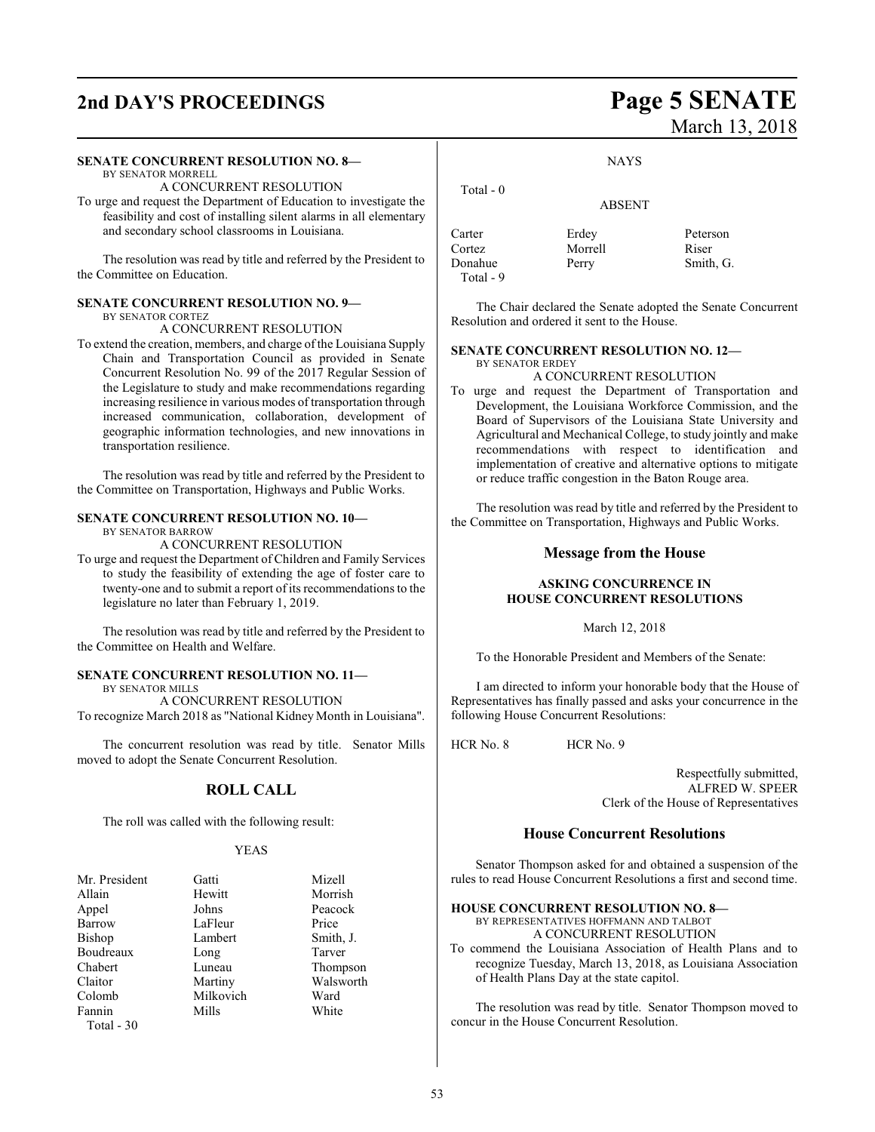## **2nd DAY'S PROCEEDINGS Page 5 SENATE**

#### **SENATE CONCURRENT RESOLUTION NO. 8—**

#### BY SENATOR MORRELL

A CONCURRENT RESOLUTION

To urge and request the Department of Education to investigate the feasibility and cost of installing silent alarms in all elementary and secondary school classrooms in Louisiana.

The resolution was read by title and referred by the President to the Committee on Education.

#### **SENATE CONCURRENT RESOLUTION NO. 9—**

BY SENATOR CORTEZ

A CONCURRENT RESOLUTION

To extend the creation, members, and charge of the Louisiana Supply Chain and Transportation Council as provided in Senate Concurrent Resolution No. 99 of the 2017 Regular Session of the Legislature to study and make recommendations regarding increasing resilience in various modes of transportation through increased communication, collaboration, development of geographic information technologies, and new innovations in transportation resilience.

The resolution was read by title and referred by the President to the Committee on Transportation, Highways and Public Works.

#### **SENATE CONCURRENT RESOLUTION NO. 10—**

BY SENATOR BARROW

A CONCURRENT RESOLUTION

To urge and request the Department of Children and Family Services to study the feasibility of extending the age of foster care to twenty-one and to submit a report of its recommendations to the legislature no later than February 1, 2019.

The resolution was read by title and referred by the President to the Committee on Health and Welfare.

#### **SENATE CONCURRENT RESOLUTION NO. 11—**

BY SENATOR MILLS

A CONCURRENT RESOLUTION To recognize March 2018 as "National Kidney Month in Louisiana".

The concurrent resolution was read by title. Senator Mills moved to adopt the Senate Concurrent Resolution.

### **ROLL CALL**

The roll was called with the following result:

#### YEAS

| Mr. President | Gatti     | Mizell    |
|---------------|-----------|-----------|
| Allain        | Hewitt    | Morrish   |
| Appel         | Johns     | Peacock   |
| Barrow        | LaFleur   | Price     |
| Bishop        | Lambert   | Smith, J. |
| Boudreaux     | Long      | Tarver    |
| Chabert       | Luneau    | Thompson  |
| Claitor       | Martiny   | Walsworth |
| Colomb        | Milkovich | Ward      |
| Fannin        | Mills     | White     |
| Total - 30    |           |           |

# March 13, 2018

**NAYS** 

ABSENT

Carter Erdey Peterson Cortez Morrell Riser Donahue Perry Smith, G. Total - 9

The Chair declared the Senate adopted the Senate Concurrent Resolution and ordered it sent to the House.

#### **SENATE CONCURRENT RESOLUTION NO. 12—**

BY SENATOR ERDEY

Total - 0

- A CONCURRENT RESOLUTION To urge and request the Department of Transportation and
- Development, the Louisiana Workforce Commission, and the Board of Supervisors of the Louisiana State University and Agricultural and Mechanical College, to study jointly and make recommendations with respect to identification and implementation of creative and alternative options to mitigate or reduce traffic congestion in the Baton Rouge area.

The resolution was read by title and referred by the President to the Committee on Transportation, Highways and Public Works.

#### **Message from the House**

#### **ASKING CONCURRENCE IN HOUSE CONCURRENT RESOLUTIONS**

March 12, 2018

To the Honorable President and Members of the Senate:

I am directed to inform your honorable body that the House of Representatives has finally passed and asks your concurrence in the following House Concurrent Resolutions:

HCR No. 8 HCR No. 9

Respectfully submitted, ALFRED W. SPEER Clerk of the House of Representatives

#### **House Concurrent Resolutions**

Senator Thompson asked for and obtained a suspension of the rules to read House Concurrent Resolutions a first and second time.

#### **HOUSE CONCURRENT RESOLUTION NO. 8—**

BY REPRESENTATIVES HOFFMANN AND TALBOT A CONCURRENT RESOLUTION

To commend the Louisiana Association of Health Plans and to recognize Tuesday, March 13, 2018, as Louisiana Association of Health Plans Day at the state capitol.

The resolution was read by title. Senator Thompson moved to concur in the House Concurrent Resolution.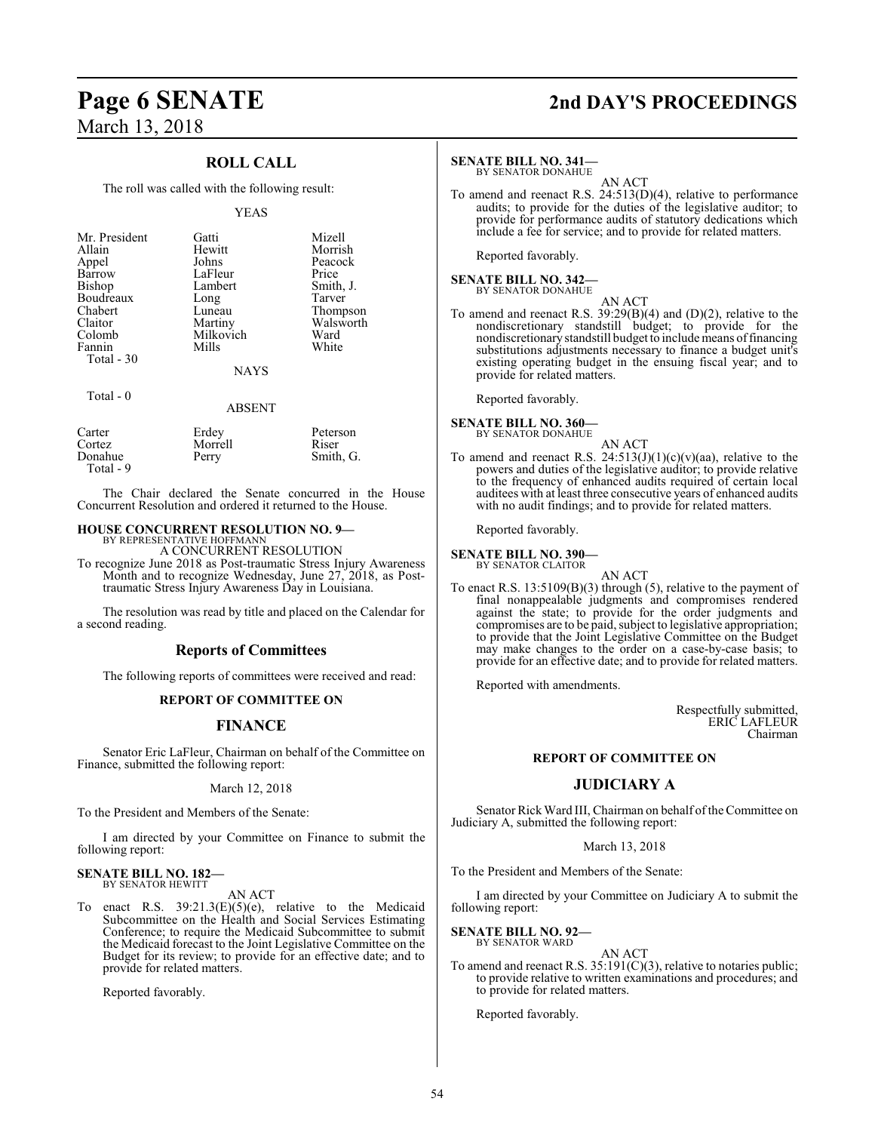### **ROLL CALL**

The roll was called with the following result:

#### YEAS

| Mr. President<br>Allain<br>Appel<br>Barrow<br>Bishop<br>Boudreaux<br>Chabert<br>Claitor<br>Colomb<br>Fannin<br>Total - 30 | Gatti<br>Hewitt<br>Johns<br>LaFleur<br>Lambert<br>Long<br>Luneau<br>Martiny<br>Milkovich<br>Mills | Mizell<br>Morrish<br>Peacock<br>Price<br>Smith, J.<br>Tarver<br>Thompson<br>Walsworth<br>Ward<br>White |
|---------------------------------------------------------------------------------------------------------------------------|---------------------------------------------------------------------------------------------------|--------------------------------------------------------------------------------------------------------|
|                                                                                                                           | <b>NAYS</b>                                                                                       |                                                                                                        |
| Total - 0                                                                                                                 | ABSENT                                                                                            |                                                                                                        |

| Carter    | Erdey   | Peterson  |
|-----------|---------|-----------|
| Cortez    | Morrell | Riser     |
| Donahue   | Perry   | Smith, G. |
| Total - 9 |         |           |

The Chair declared the Senate concurred in the House Concurrent Resolution and ordered it returned to the House.

#### **HOUSE CONCURRENT RESOLUTION NO. 9—** BY REPRESENTATIVE HOFFMANN

A CONCURRENT RESOLUTION

To recognize June 2018 as Post-traumatic Stress Injury Awareness Month and to recognize Wednesday, June 27, 2018, as Posttraumatic Stress Injury Awareness Day in Louisiana.

The resolution was read by title and placed on the Calendar for a second reading.

#### **Reports of Committees**

The following reports of committees were received and read:

#### **REPORT OF COMMITTEE ON**

#### **FINANCE**

Senator Eric LaFleur, Chairman on behalf of the Committee on Finance, submitted the following report:

#### March 12, 2018

To the President and Members of the Senate:

I am directed by your Committee on Finance to submit the following report:

#### **SENATE BILL NO. 182—** BY SENATOR HEWITT

AN ACT

To enact R.S. 39:21.3(E)(5)(e), relative to the Medicaid Subcommittee on the Health and Social Services Estimating Conference; to require the Medicaid Subcommittee to submit the Medicaid forecast to the Joint Legislative Committee on the Budget for its review; to provide for an effective date; and to provide for related matters.

Reported favorably.

## **Page 6 SENATE 2nd DAY'S PROCEEDINGS**

#### **SENATE BILL NO. 341—**

BY SENATOR DONAHUE AN ACT

To amend and reenact R.S. 24:513(D)(4), relative to performance audits; to provide for the duties of the legislative auditor; to provide for performance audits of statutory dedications which include a fee for service; and to provide for related matters.

Reported favorably.

#### **SENATE BILL NO. 342—** BY SENATOR DONAHUE

AN ACT

To amend and reenact R.S. 39:29(B)(4) and (D)(2), relative to the nondiscretionary standstill budget; to provide for the nondiscretionary standstill budget to include means offinancing substitutions adjustments necessary to finance a budget unit's existing operating budget in the ensuing fiscal year; and to provide for related matters.

Reported favorably.

## **SENATE BILL NO. 360—** BY SENATOR DONAHUE

AN ACT

To amend and reenact R.S.  $24:513(J)(1)(c)(v)(aa)$ , relative to the powers and duties of the legislative auditor; to provide relative to the frequency of enhanced audits required of certain local auditees with at least three consecutive years of enhanced audits with no audit findings; and to provide for related matters.

Reported favorably.

#### **SENATE BILL NO. 390—**

- BY SENATOR CLAITOR AN ACT
- To enact R.S. 13:5109(B)(3) through (5), relative to the payment of final nonappealable judgments and compromises rendered against the state; to provide for the order judgments and compromises are to be paid, subject to legislative appropriation; to provide that the Joint Legislative Committee on the Budget may make changes to the order on a case-by-case basis; to provide for an effective date; and to provide for related matters.

Reported with amendments.

Respectfully submitted, ERIC LAFLEUR Chairman

#### **REPORT OF COMMITTEE ON**

#### **JUDICIARY A**

Senator Rick Ward III, Chairman on behalf of the Committee on Judiciary A, submitted the following report:

#### March 13, 2018

To the President and Members of the Senate:

I am directed by your Committee on Judiciary A to submit the following report:

**SENATE BILL NO. 92—** BY SENATOR WARD

AN ACT

To amend and reenact R.S. 35:191(C)(3), relative to notaries public; to provide relative to written examinations and procedures; and to provide for related matters.

Reported favorably.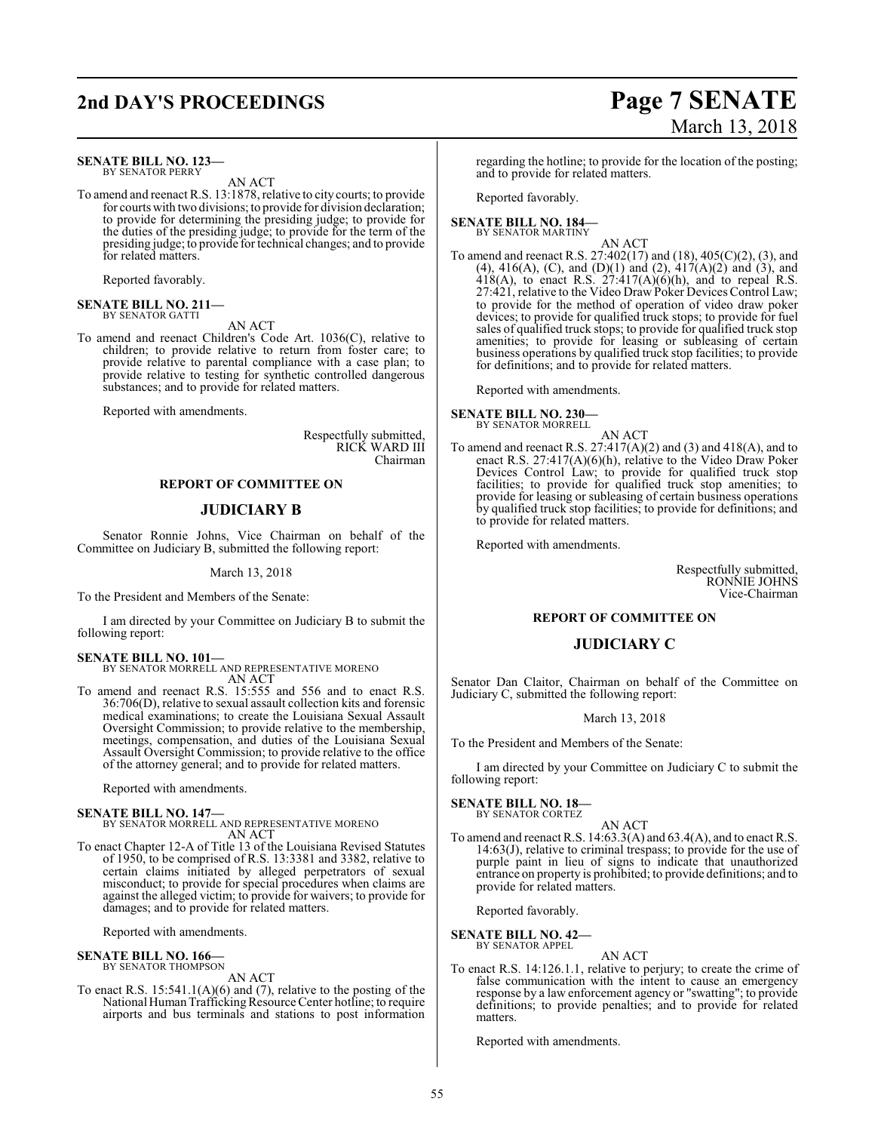## **2nd DAY'S PROCEEDINGS Page 7 SENATE**

#### **SENATE BILL NO. 123—** BY SENATOR PERRY

AN ACT

To amend and reenact R.S. 13:1878, relative to city courts; to provide for courts with two divisions; to provide for division declaration; to provide for determining the presiding judge; to provide for the duties of the presiding judge; to provide for the term of the presiding judge; to provide for technical changes; and to provide for related matters.

Reported favorably.

#### **SENATE BILL NO. 211—** BY SENATOR GATTI

AN ACT

To amend and reenact Children's Code Art. 1036(C), relative to children; to provide relative to return from foster care; to provide relative to parental compliance with a case plan; to provide relative to testing for synthetic controlled dangerous substances; and to provide for related matters.

Reported with amendments.

Respectfully submitted, RICK WARD III Chairman

#### **REPORT OF COMMITTEE ON**

#### **JUDICIARY B**

Senator Ronnie Johns, Vice Chairman on behalf of the Committee on Judiciary B, submitted the following report:

March 13, 2018

To the President and Members of the Senate:

I am directed by your Committee on Judiciary B to submit the following report:

## **SENATE BILL NO. 101—** BY SENATOR MORRELL AND REPRESENTATIVE MORENO

AN ACT To amend and reenact R.S. 15:555 and 556 and to enact R.S. 36:706(D), relative to sexual assault collection kits and forensic medical examinations; to create the Louisiana Sexual Assault Oversight Commission; to provide relative to the membership, meetings, compensation, and duties of the Louisiana Sexual Assault Oversight Commission; to provide relative to the office of the attorney general; and to provide for related matters.

Reported with amendments.

#### **SENATE BILL NO. 147—**

BY SENATOR MORRELL AND REPRESENTATIVE MORENO AN ACT

To enact Chapter 12-A of Title 13 of the Louisiana Revised Statutes of 1950, to be comprised of R.S. 13:3381 and 3382, relative to certain claims initiated by alleged perpetrators of sexual misconduct; to provide for special procedures when claims are against the alleged victim; to provide for waivers; to provide for damages; and to provide for related matters.

Reported with amendments.

## **SENATE BILL NO. 166—** BY SENATOR THOMPSON

AN ACT

To enact R.S. 15:541.1(A)(6) and (7), relative to the posting of the National Human Trafficking Resource Center hotline; to require airports and bus terminals and stations to post information

## March 13, 2018

regarding the hotline; to provide for the location of the posting; and to provide for related matters.

Reported favorably.

#### **SENATE BILL NO. 184—** BY SENATOR MARTINY

AN ACT

To amend and reenact R.S. 27:402(17) and (18), 405(C)(2), (3), and (4), 416(A), (C), and (D)(1) and (2), 417(A)(2) and (3), and  $418(A)$ , to enact R.S.  $27:417(A)(6)(h)$ , and to repeal R.S. 27:421, relative to the Video Draw Poker Devices Control Law; to provide for the method of operation of video draw poker devices; to provide for qualified truck stops; to provide for fuel sales of qualified truck stops; to provide for qualified truck stop amenities; to provide for leasing or subleasing of certain business operations by qualified truck stop facilities; to provide for definitions; and to provide for related matters.

Reported with amendments.

#### **SENATE BILL NO. 230—** BY SENATOR MORRELL

- AN ACT
- To amend and reenact R.S.  $27:417(A)(2)$  and  $(3)$  and  $418(A)$ , and to enact R.S. 27:417(A)(6)(h), relative to the Video Draw Poker Devices Control Law; to provide for qualified truck stop facilities; to provide for qualified truck stop amenities; to provide for leasing or subleasing of certain business operations by qualified truck stop facilities; to provide for definitions; and to provide for related matters.

Reported with amendments.

Respectfully submitted, RONNIE JOHNS Vice-Chairman

#### **REPORT OF COMMITTEE ON**

#### **JUDICIARY C**

Senator Dan Claitor, Chairman on behalf of the Committee on Judiciary C, submitted the following report:

#### March 13, 2018

To the President and Members of the Senate:

I am directed by your Committee on Judiciary C to submit the following report:

#### **SENATE BILL NO. 18—** BY SENATOR CORTEZ

AN ACT

To amend and reenact R.S. 14:63.3(A) and 63.4(A), and to enact R.S. 14:63(J), relative to criminal trespass; to provide for the use of purple paint in lieu of signs to indicate that unauthorized entrance on property is prohibited; to provide definitions; and to provide for related matters.

Reported favorably.

#### **SENATE BILL NO. 42—** BY SENATOR APPEL

AN ACT

To enact R.S. 14:126.1.1, relative to perjury; to create the crime of false communication with the intent to cause an emergency response by a law enforcement agency or "swatting"; to provide definitions; to provide penalties; and to provide for related matters.

Reported with amendments.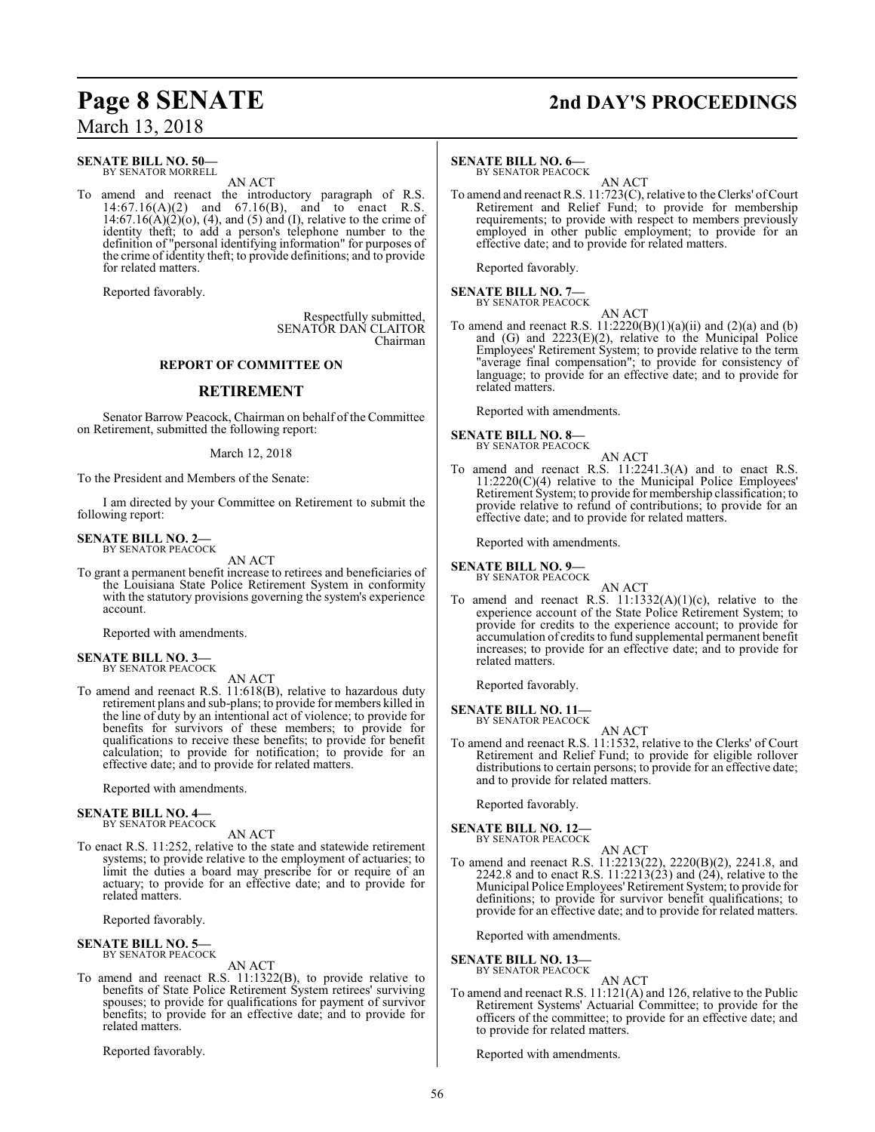## **Page 8 SENATE 2nd DAY'S PROCEEDINGS** March 13, 2018

#### **SENATE BILL NO. 50—** BY SENATOR MORRELL

AN ACT

To amend and reenact the introductory paragraph of R.S. 14:67.16(A)(2) and 67.16(B), and to enact R.S.  $14:67.16(A)(2)(o)$ , (4), and (5) and (I), relative to the crime of identity theft; to add a person's telephone number to the definition of "personal identifying information" for purposes of the crime of identity theft; to provide definitions; and to provide for related matters.

Reported favorably.

Respectfully submitted, SENATOR DAN CLAITOR Chairman

#### **REPORT OF COMMITTEE ON**

#### **RETIREMENT**

Senator Barrow Peacock, Chairman on behalf of the Committee on Retirement, submitted the following report:

#### March 12, 2018

To the President and Members of the Senate:

I am directed by your Committee on Retirement to submit the following report:

#### **SENATE BILL NO. 2—** BY SENATOR PEACOCK

AN ACT

To grant a permanent benefit increase to retirees and beneficiaries of the Louisiana State Police Retirement System in conformity with the statutory provisions governing the system's experience account.

Reported with amendments.

**SENATE BILL NO. 3—** BY SENATOR PEACOCK

AN ACT

To amend and reenact R.S. 11:618(B), relative to hazardous duty retirement plans and sub-plans; to provide for members killed in the line of duty by an intentional act of violence; to provide for benefits for survivors of these members; to provide for qualifications to receive these benefits; to provide for benefit calculation; to provide for notification; to provide for an effective date; and to provide for related matters.

Reported with amendments.

#### **SENATE BILL NO. 4—** BY SENATOR PEACOCK

AN ACT

To enact R.S. 11:252, relative to the state and statewide retirement systems; to provide relative to the employment of actuaries; to limit the duties a board may prescribe for or require of an actuary; to provide for an effective date; and to provide for related matters.

Reported favorably.

**SENATE BILL NO. 5—** BY SENATOR PEACOCK

AN ACT

To amend and reenact R.S. 11:1322(B), to provide relative to benefits of State Police Retirement System retirees' surviving spouses; to provide for qualifications for payment of survivor benefits; to provide for an effective date; and to provide for related matters.

Reported favorably.

#### **SENATE BILL NO. 6—**

BY SENATOR PEACOCK

AN ACT To amend and reenact R.S. 11:723(C), relative to the Clerks' of Court Retirement and Relief Fund; to provide for membership requirements; to provide with respect to members previously employed in other public employment; to provide for an effective date; and to provide for related matters.

Reported favorably.

#### **SENATE BILL NO. 7—** BY SENATOR PEACOCK

AN ACT To amend and reenact R.S.  $11:2220(B)(1)(a)(ii)$  and  $(2)(a)$  and  $(b)$ and (G) and 2223(E)(2), relative to the Municipal Police Employees' Retirement System; to provide relative to the term "average final compensation"; to provide for consistency of language; to provide for an effective date; and to provide for related matters.

Reported with amendments.

### **SENATE BILL NO. 8—**<br>BY SENATOR PEACOCK

To amend and reenact R.S. 11:2241.3(A) and to enact R.S. 11:2220(C)(4) relative to the Municipal Police Employees' Retirement System; to provide for membership classification; to provide relative to refund of contributions; to provide for an effective date; and to provide for related matters.

AN ACT

Reported with amendments.

#### **SENATE BILL NO. 9—**

BY SENATOR PEACOCK

AN ACT

To amend and reenact R.S.  $11:1332(A)(1)(c)$ , relative to the experience account of the State Police Retirement System; to provide for credits to the experience account; to provide for accumulation of credits to fund supplemental permanent benefit increases; to provide for an effective date; and to provide for related matters.

Reported favorably.

**SENATE BILL NO. 11—** BY SENATOR PEACOCK

AN ACT

To amend and reenact R.S. 11:1532, relative to the Clerks' of Court Retirement and Relief Fund; to provide for eligible rollover distributions to certain persons; to provide for an effective date; and to provide for related matters.

Reported favorably.

**SENATE BILL NO. 12—** BY SENATOR PEACOCK

AN ACT

To amend and reenact R.S. 11:2213(22), 2220(B)(2), 2241.8, and 2242.8 and to enact R.S.  $11:2213(23)$  and  $(24)$ , relative to the Municipal Police Employees'Retirement System; to provide for definitions; to provide for survivor benefit qualifications; to provide for an effective date; and to provide for related matters.

Reported with amendments.

**SENATE BILL NO. 13—**<br>BY SENATOR PEACOCK

AN ACT

To amend and reenact R.S. 11:121(A) and 126, relative to the Public Retirement Systems' Actuarial Committee; to provide for the officers of the committee; to provide for an effective date; and to provide for related matters.

Reported with amendments.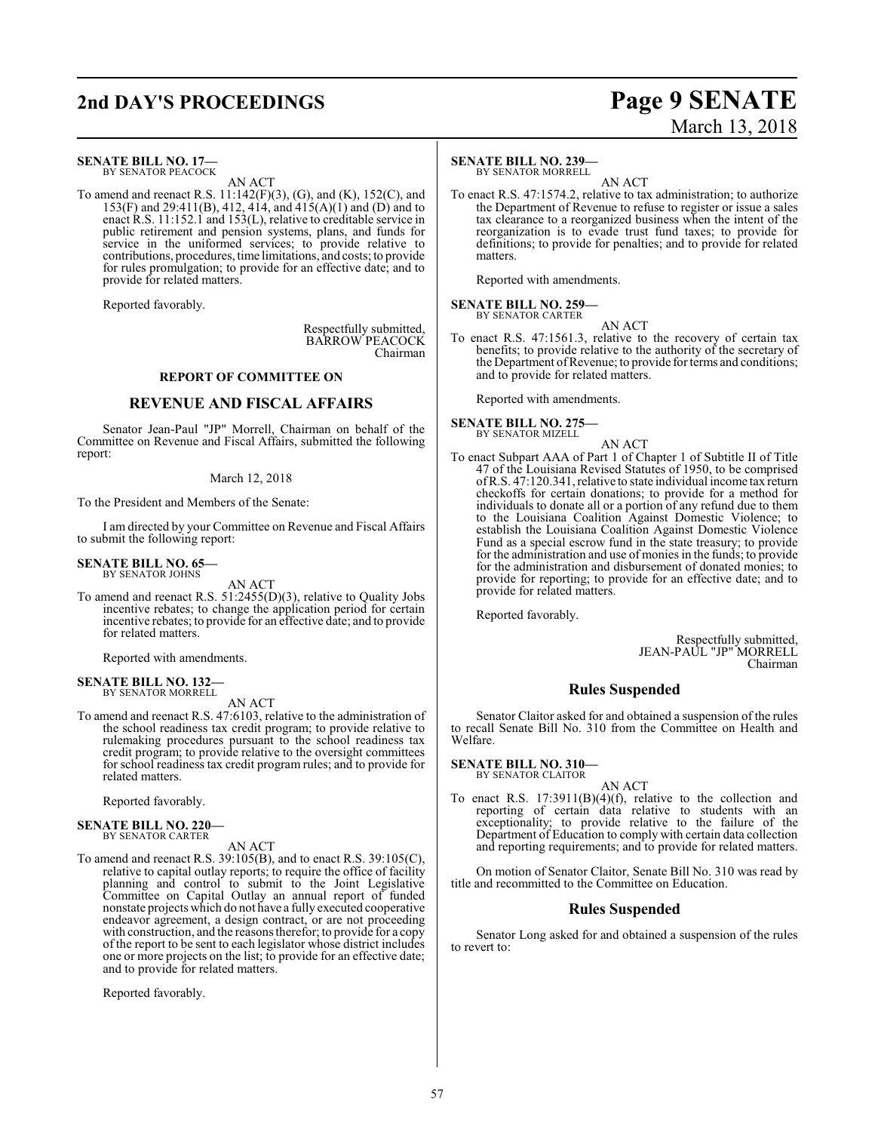## **2nd DAY'S PROCEEDINGS Page 9 SENATE**

## March 13, 2018

### **SENATE BILL NO. 17—**

BY SENATOR PEACOCK AN ACT

To amend and reenact R.S. 11:142(F)(3), (G), and (K), 152(C), and 153(F) and 29:411(B), 412, 414, and 415(A)(1) and (D) and to enact R.S. 11:152.1 and 153(L), relative to creditable service in public retirement and pension systems, plans, and funds for service in the uniformed services; to provide relative to contributions, procedures, time limitations, and costs; to provide for rules promulgation; to provide for an effective date; and to provide for related matters.

Reported favorably.

Respectfully submitted, BARROW PEACOCK Chairman

#### **REPORT OF COMMITTEE ON**

#### **REVENUE AND FISCAL AFFAIRS**

Senator Jean-Paul "JP" Morrell, Chairman on behalf of the Committee on Revenue and Fiscal Affairs, submitted the following report:

#### March 12, 2018

To the President and Members of the Senate:

I am directed by your Committee on Revenue and Fiscal Affairs to submit the following report:

#### **SENATE BILL NO. 65—**

BY SENATOR JOHNS

AN ACT To amend and reenact R.S. 51:2455(D)(3), relative to Quality Jobs incentive rebates; to change the application period for certain incentive rebates; to provide for an effective date; and to provide for related matters.

Reported with amendments.

#### **SENATE BILL NO. 132—** BY SENATOR MORRELL

AN ACT

To amend and reenact R.S. 47:6103, relative to the administration of the school readiness tax credit program; to provide relative to rulemaking procedures pursuant to the school readiness tax credit program; to provide relative to the oversight committees for school readiness tax credit program rules; and to provide for related matters.

Reported favorably.

#### **SENATE BILL NO. 220—** BY SENATOR CARTER

#### AN ACT

To amend and reenact R.S. 39:105(B), and to enact R.S. 39:105(C), relative to capital outlay reports; to require the office of facility planning and control to submit to the Joint Legislative Committee on Capital Outlay an annual report of funded nonstate projects which do not have a fully executed cooperative endeavor agreement, a design contract, or are not proceeding with construction, and the reasons therefor; to provide for a copy of the report to be sent to each legislator whose district includes one or more projects on the list; to provide for an effective date; and to provide for related matters.

Reported favorably.

#### **SENATE BILL NO. 239—**

BY SENATOR MORRELL

AN ACT To enact R.S. 47:1574.2, relative to tax administration; to authorize the Department of Revenue to refuse to register or issue a sales tax clearance to a reorganized business when the intent of the reorganization is to evade trust fund taxes; to provide for definitions; to provide for penalties; and to provide for related matters.

Reported with amendments.

**SENATE BILL NO. 259—** BY SENATOR CARTER

AN ACT

To enact R.S. 47:1561.3, relative to the recovery of certain tax benefits; to provide relative to the authority of the secretary of the Department of Revenue; to provide for terms and conditions; and to provide for related matters.

Reported with amendments.

## **SENATE BILL NO. 275—** BY SENATOR MIZELL

AN ACT

To enact Subpart AAA of Part 1 of Chapter 1 of Subtitle II of Title 47 of the Louisiana Revised Statutes of 1950, to be comprised ofR.S. 47:120.341, relative to state individual income tax return checkoffs for certain donations; to provide for a method for individuals to donate all or a portion of any refund due to them to the Louisiana Coalition Against Domestic Violence; to establish the Louisiana Coalition Against Domestic Violence Fund as a special escrow fund in the state treasury; to provide for the administration and use of monies in the funds; to provide for the administration and disbursement of donated monies; to provide for reporting; to provide for an effective date; and to provide for related matters.

Reported favorably.

Respectfully submitted, JEAN-PAUL "JP" MORRELL Chairman

#### **Rules Suspended**

Senator Claitor asked for and obtained a suspension of the rules to recall Senate Bill No. 310 from the Committee on Health and Welfare.

**SENATE BILL NO. 310—** BY SENATOR CLAITOR

AN ACT To enact R.S.  $17:3911(B)(4)(f)$ , relative to the collection and reporting of certain data relative to students with an exceptionality; to provide relative to the failure of the Department of Education to comply with certain data collection and reporting requirements; and to provide for related matters.

On motion of Senator Claitor, Senate Bill No. 310 was read by title and recommitted to the Committee on Education.

#### **Rules Suspended**

Senator Long asked for and obtained a suspension of the rules to revert to: